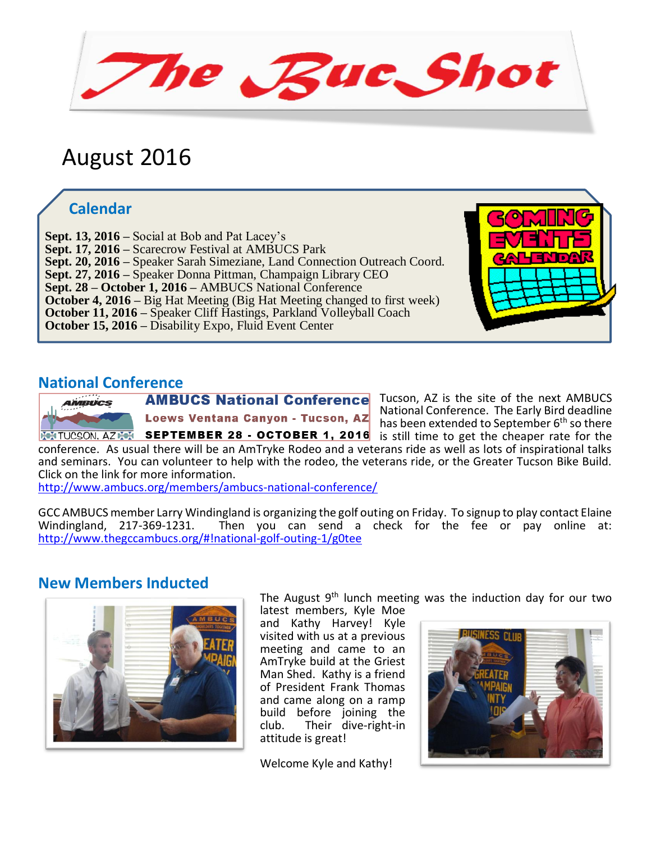The Ruc Shot

# August 2016

## **Calendar**

**Sept. 20, 2016** – Speaker Sarah Simeziane, Land Connection Outreach Coord.  **Sept. 13, 2016 –** Social at Bob and Pat Lacey's  **Sept. 17, 2016 –** Scarecrow Festival at AMBUCS Park **Sept. 27, 2016 –** Speaker Donna Pittman, Champaign Library CEO  **Sept. 28 – October 1, 2016 –** AMBUCS National Conference  **October 4, 2016 –** Big Hat Meeting (Big Hat Meeting changed to first week)  **October 11, 2016 –** Speaker Cliff Hastings, Parkland Volleyball Coach  **October 15, 2016 –** Disability Expo, Fluid Event Center

**National Conference** Loews Ventana Canyon - Tucson, AZ **INTUCSON. AZINE SEPTEMBER 28 - OCTOBER 1, 2016** is still time to get the cheaper rate for the

**AMBUCS National Conference** Tucson, AZ is the site of the next AMBUCS National Conference. The Early Bird deadline has been extended to September 6<sup>th</sup> so there

conference. As usual there will be an AmTryke Rodeo and a veterans ride as well as lots of inspirational talks and seminars. You can volunteer to help with the rodeo, the veterans ride, or the Greater Tucson Bike Build. Click on the link for more information.

<http://www.ambucs.org/members/ambucs-national-conference/>

GCC AMBUCS member Larry Windingland is organizing the golf outing on Friday. To signup to play contact Elaine<br>Windingland, 217-369-1231. Then you can send a check for the fee or pay online at: Then you can send a check for the fee or pay online at: <http://www.thegccambucs.org/#!national-golf-outing-1/g0tee>

#### **New Members Inducted**



The August 9<sup>th</sup> lunch meeting was the induction day for our two latest members, Kyle Moe

and Kathy Harvey! Kyle visited with us at a previous meeting and came to an AmTryke build at the Griest Man Shed. Kathy is a friend of President Frank Thomas and came along on a ramp build before joining the club. Their dive-right-in attitude is great!

Welcome Kyle and Kathy!

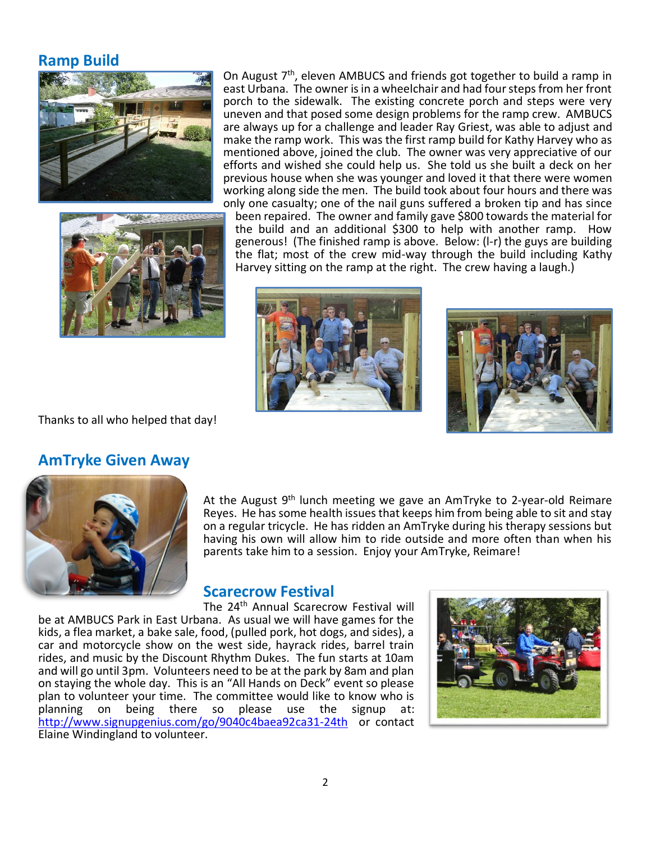#### **Ramp Build**





On August 7<sup>th</sup>, eleven AMBUCS and friends got together to build a ramp in east Urbana. The owner is in a wheelchair and had four steps from her front porch to the sidewalk. The existing concrete porch and steps were very uneven and that posed some design problems for the ramp crew. AMBUCS are always up for a challenge and leader Ray Griest, was able to adjust and make the ramp work. This was the first ramp build for Kathy Harvey who as mentioned above, joined the club. The owner was very appreciative of our efforts and wished she could help us. She told us she built a deck on her previous house when she was younger and loved it that there were women working along side the men. The build took about four hours and there was only one casualty; one of the nail guns suffered a broken tip and has since been repaired. The owner and family gave \$800 towards the material for the build and an additional \$300 to help with another ramp. How generous! (The finished ramp is above. Below: (l-r) the guys are building the flat; most of the crew mid-way through the build including Kathy Harvey sitting on the ramp at the right. The crew having a laugh.)





Thanks to all who helped that day!

#### **AmTryke Given Away**



At the August 9<sup>th</sup> lunch meeting we gave an AmTryke to 2-year-old Reimare Reyes. He has some health issues that keeps him from being able to sit and stay on a regular tricycle. He has ridden an AmTryke during his therapy sessions but having his own will allow him to ride outside and more often than when his parents take him to a session. Enjoy your AmTryke, Reimare!

#### **Scarecrow Festival**

The 24th Annual Scarecrow Festival will be at AMBUCS Park in East Urbana. As usual we will have games for the kids, a flea market, a bake sale, food, (pulled pork, hot dogs, and sides), a car and motorcycle show on the west side, hayrack rides, barrel train rides, and music by the Discount Rhythm Dukes. The fun starts at 10am and will go until 3pm. Volunteers need to be at the park by 8am and plan on staying the whole day. This is an "All Hands on Deck" event so please plan to volunteer your time. The committee would like to know who is planning on being there so please use the signup at: being there so please use the signup at: <http://www.signupgenius.com/go/9040c4baea92ca31-24th>or contact Elaine Windingland to volunteer.

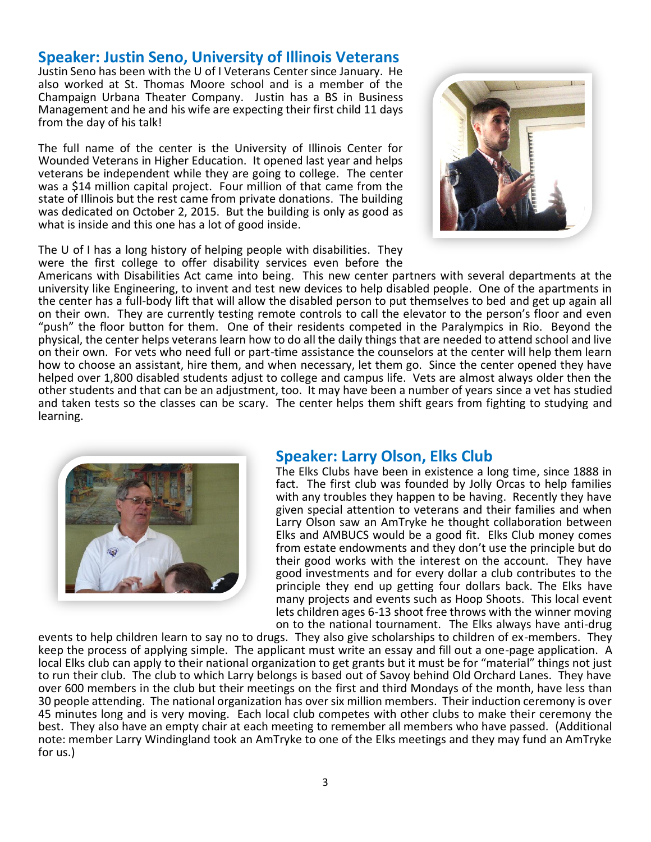#### **Speaker: Justin Seno, University of Illinois Veterans**

Justin Seno has been with the U of I Veterans Center since January. He also worked at St. Thomas Moore school and is a member of the Champaign Urbana Theater Company. Justin has a BS in Business Management and he and his wife are expecting their first child 11 days from the day of his talk!

The full name of the center is the University of Illinois Center for Wounded Veterans in Higher Education. It opened last year and helps veterans be independent while they are going to college. The center was a \$14 million capital project. Four million of that came from the state of Illinois but the rest came from private donations. The building was dedicated on October 2, 2015. But the building is only as good as what is inside and this one has a lot of good inside.



The U of I has a long history of helping people with disabilities. They were the first college to offer disability services even before the

Americans with Disabilities Act came into being. This new center partners with several departments at the university like Engineering, to invent and test new devices to help disabled people. One of the apartments in the center has a full-body lift that will allow the disabled person to put themselves to bed and get up again all on their own. They are currently testing remote controls to call the elevator to the person's floor and even "push" the floor button for them. One of their residents competed in the Paralympics in Rio. Beyond the physical, the center helps veterans learn how to do all the daily things that are needed to attend school and live on their own. For vets who need full or part-time assistance the counselors at the center will help them learn how to choose an assistant, hire them, and when necessary, let them go. Since the center opened they have helped over 1,800 disabled students adjust to college and campus life. Vets are almost always older then the other students and that can be an adjustment, too. It may have been a number of years since a vet has studied and taken tests so the classes can be scary. The center helps them shift gears from fighting to studying and learning.



#### **Speaker: Larry Olson, Elks Club**

The Elks Clubs have been in existence a long time, since 1888 in fact. The first club was founded by Jolly Orcas to help families with any troubles they happen to be having. Recently they have given special attention to veterans and their families and when Larry Olson saw an AmTryke he thought collaboration between Elks and AMBUCS would be a good fit. Elks Club money comes from estate endowments and they don't use the principle but do their good works with the interest on the account. They have good investments and for every dollar a club contributes to the principle they end up getting four dollars back. The Elks have many projects and events such as Hoop Shoots. This local event lets children ages 6-13 shoot free throws with the winner moving on to the national tournament. The Elks always have anti-drug

events to help children learn to say no to drugs. They also give scholarships to children of ex-members. They keep the process of applying simple. The applicant must write an essay and fill out a one-page application. A local Elks club can apply to their national organization to get grants but it must be for "material" things not just to run their club. The club to which Larry belongs is based out of Savoy behind Old Orchard Lanes. They have over 600 members in the club but their meetings on the first and third Mondays of the month, have less than 30 people attending. The national organization has over six million members. Their induction ceremony is over 45 minutes long and is very moving. Each local club competes with other clubs to make their ceremony the best. They also have an empty chair at each meeting to remember all members who have passed. (Additional note: member Larry Windingland took an AmTryke to one of the Elks meetings and they may fund an AmTryke for us.)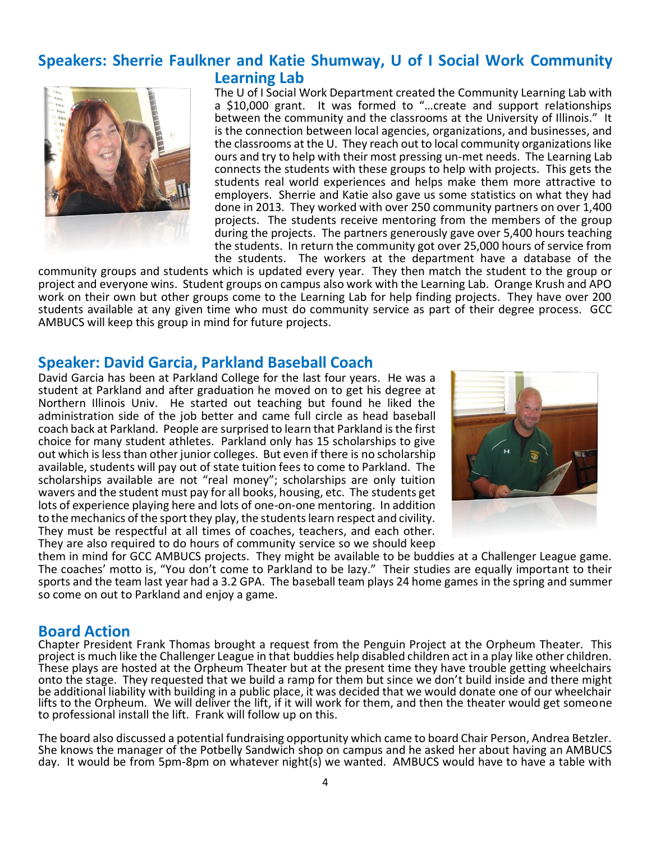#### **Speakers: Sherrie Faulkner and Katie Shumway, U of I Social Work Community Learning Lab**



The U of I Social Work Department created the Community Learning Lab with a \$10,000 grant. It was formed to "…create and support relationships between the community and the classrooms at the University of Illinois." It is the connection between local agencies, organizations, and businesses, and the classrooms at the U. They reach out to local community organizations like ours and try to help with their most pressing un-met needs. The Learning Lab connects the students with these groups to help with projects. This gets the students real world experiences and helps make them more attractive to employers. Sherrie and Katie also gave us some statistics on what they had done in 2013. They worked with over 250 community partners on over 1,400 projects. The students receive mentoring from the members of the group during the projects. The partners generously gave over 5,400 hours teaching the students. In return the community got over 25,000 hours of service from the students. The workers at the department have a database of the

community groups and students which is updated every year. They then match the student to the group or project and everyone wins. Student groups on campus also work with the Learning Lab. Orange Krush and APO work on their own but other groups come to the Learning Lab for help finding projects. They have over 200 students available at any given time who must do community service as part of their degree process. GCC AMBUCS will keep this group in mind for future projects.

#### **Speaker: David Garcia, Parkland Baseball Coach**

David Garcia has been at Parkland College for the last four years. He was a student at Parkland and after graduation he moved on to get his degree at Northern Illinois Univ. He started out teaching but found he liked the administration side of the job better and came full circle as head baseball coach back at Parkland. People are surprised to learn that Parkland is the first choice for many student athletes. Parkland only has 15 scholarships to give out which is less than other junior colleges. But even if there is no scholarship available, students will pay out of state tuition fees to come to Parkland. The scholarships available are not "real money"; scholarships are only tuition wavers and the student must pay for all books, housing, etc. The students get lots of experience playing here and lots of one-on-one mentoring. In addition to the mechanics of the sport they play, the students learn respect and civility. They must be respectful at all times of coaches, teachers, and each other. They are also required to do hours of community service so we should keep



them in mind for GCC AMBUCS projects. They might be available to be buddies at a Challenger League game. The coaches' motto is, "You don't come to Parkland to be lazy." Their studies are equally important to their sports and the team last year had a 3.2 GPA. The baseball team plays 24 home games in the spring and summer so come on out to Parkland and enjoy a game.

#### **Board Action**

Chapter President Frank Thomas brought a request from the Penguin Project at the Orpheum Theater. This project is much like the Challenger League in that buddies help disabled children act in a play like other children. These plays are hosted at the Orpheum Theater but at the present time they have trouble getting wheelchairs onto the stage. They requested that we build a ramp for them but since we don't build inside and there might be additional liability with building in a public place, it was decided that we would donate one of our wheelchair lifts to the Orpheum. We will deliver the lift, if it will work for them, and then the theater would get someone to professional install the lift. Frank will follow up on this.

The board also discussed a potential fundraising opportunity which came to board Chair Person, Andrea Betzler. She knows the manager of the Potbelly Sandwich shop on campus and he asked her about having an AMBUCS day. It would be from 5pm-8pm on whatever night(s) we wanted. AMBUCS would have to have a table with